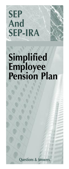# **SEP And SEP-IRA**

## **Simplified Employee Pension Plan**

**Questions & Answers**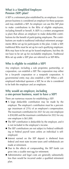## **What is a Simplified Employee** Pension (SEP) plan?

A SEP is a retirement plan established by an employer. A oneperson business is considered an employer for these purposes and may establish a SEP. An employer can use this SEP plan to make contributions to the IRAs of eligible employees, including himself or herself. A (SEP) is a written arrangement (a plan) that allows an employer to make deductible contributions for the benefit of participating employees. The contributions are made to traditional individual retirement arrangements (IRAs) set up for participants in the plan. Under a SEP, traditional IRAs must be set up for each qualifying employee. IRAs may have to be set up for leased employees, but they do not have to be set up for excludable employees. Traditional IRAs set up under a SEP plan are referred to as SEP-IRAs.

## **Who is eligible to establish a SEP?**

Any employer, including a sole proprietor, partnership, or corporation, can establish a SEP. The corporation may either be a for-profit corporation or a nonprofit corporation. A governmental entity may also establish a SEP. When a selfemployed individual sponsors a SEP, he or she is considered to be both the employer and an employee.

## **Why would an employer, including a one-person business, want to have a SEP?**

There are numerous reasons for establishing a SEP:

- $\blacklozenge$  A large deductible contribution may be made by the employer. The employer's contribution must be a percentage (maximum of 25%) of an employee's compensation. The maximum contribution for 2021 for any one employee is \$58,000 and the maximum contribution for 2022 for any one employee is \$61,000.
- $\blacklozenge$  The SEP contribution is deductible by the employer, and it is not included in the employee's income.
- $\blacklozenge$  The SEP contributions are not subject to Federal withholding or Federal payroll taxes unless an individual is selfemployed.
- $\blacklozenge$  Interest earned on the SEP deposit is sheltered from federal and most state income taxes until withdrawals are made at retirement.
- $\blacklozenge$  Due to the effects of compounding, the SEP funds can grow into a sizable nest egg for retirement.
- $\blacklozenge$  Administrative and legal costs are generally substantially less than would be incurred under a qualified retirement plan.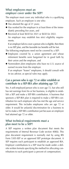#### **What employees must an employer cover under the SEP?**

The employer must cover any individual who is a qualifying employee. Such an employee is one who:

- $\triangle$  Has attained the age of 21 years;
- $\blacklozenge$  Has worked for the employer in at least three of the immediately preceding five years, and
- $\blacklozenge$  Received at least \$650 for 2021 or \$650 for 2022. An employer may establish less strict eligibility requirements.

 If an employer fails to cover a person who is eligible, then there is no SEP plan, and the favorable tax benefits will be lost.

- The following employees need not be covered by a SEP:
- $\triangle$  Employees covered by a union agreement and whose retirement benefits were bargained for in good faith by their union and the employer, and
- ◆ Nonresident alien employees who have no U.S. source of earned income from the employer. If an employer "leases" employees, it should consult with its tax advisor, as special rules may apply.

## **Can a person who is age 72 or older establish or contribute to a SEP-IRA after attaining age 72?**

Yes. A self-employed person who is over age 72, but who still has net earnings from his or her business, is eligible to establish a SEP and make a SEP-IRA contribution. A business that sponsors a SEP-IRA plan is required to make a SEP-IRA contribution for each employee who has met the age and service requirement. This includes employees who are age 72 or older. It would be unlawful discrimination for a business to fail to make a SEP-IRA contribution just because an employee had attained age 72 or older.

#### **What technical requirements must a plan meet to be a SEP?**

A SEP requires a written plan document that meets the requirements of Internal Revenue Code section 408(k). This plan document requirement is normally met by using IRS Form 5305-SEP or an approved SEP prototype document. A SEP requires each participant to establish an approved IRA. Employer contributions to a SEP must be made under a definite written formula specifying the method for allocating contributions to each participant (a percent of compensation).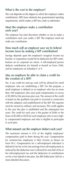## **What is the cost to the employer?**

The cost depends on the degree to which the employer makes contributions. SEPs have relatively few governmental reporting requirements, which makes a SEP less costly to administer.

## **Must the employer make a contribution each year?**

The employer has total discretion whether or not to make a contribution each year under a SEP. The employer need not make any contribution.

#### **How much will an employer save on its federal income taxes by making a SEP contribution?**

Savings depends upon the employer's marginal income tax bracket. A corporation would list its deduction for SEP contributions on its corporate tax return. A self-employed person deducts contributions for himself or herself on Form 1040, and for employees on Schedule C or F.

#### **May an employer be able to claim a credit for the creation of a SEP?**

Yes. A tax credit for start-up costs will be allowed for small employers who are establishing a SEP. For this purpose, a small employer is defined as an employer who has no more than 100 employees who were paid compensation in excess of \$5,000 for the previous plan year. The amount of the credit is based on the qualified cost paid or incurred in connection with the adoption and establishment of the SEP. The expense must be viewed as ordinary and necessary. The credit applies to the year the plan is established and the subsequent two years. The credit for each year is the greater of \$500 or the lesser of \$5,000 or \$250 for each employee who is not a highly compensated employee and who is eligible to participate in such plan.

#### **What amount can the employer deduct each year?**

The maximum amount is 25% of the eligible employees' compensation paid to them during the year. Compensation for common-law employees is their income as shown on Form W-2. Compensation for a self-employed individual is defined to be his or her net earnings from self-employment as reduced by the deduction one is allowed for one-half of his or her self-employment tax and the deduction of contributions on his or her behalf to the plan. See IRS Publication 560 for a more detailed discussion.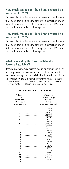#### **How much can be contributed and deducted on my behalf for 2021?**

For 2021, the SEP rules permit an employer to contribute up to 25% of each participating employee's compensation, or \$58,000, whichever is less, to the employee's SEP-IRA. These contributions are funded by the employer.

#### **How much can be contributed and deducted on my behalf for 2022?**

For 2022, the SEP rules permit an employer to contribute up to 25% of each participating employee's compensation, or \$61,000, whichever is less, to the employee's SEP-IRA. These contributions are funded by the employer.

#### **What is meant by the term "Self-Employed Person's Rate Table"?**

Because a self-employed person's deduction amount and his or her compensation are each dependent on the other, the adjustment to net earnings can be made indirectly by using an adjusted contribution rate as determined from the following chart: Note: The rates in the table below apply only if the contribution rate is

a whole number, and if the employer only has this one plan.

| Self-Employed Person's Rate Table |                      |
|-----------------------------------|----------------------|
| Column A                          | Column B             |
| If the                            | The Self-Employed    |
| Plan Contri-                      | Person's             |
| bution Rate is:                   | Rate is:             |
| (shown as a $\%$ )                | (shown as a decimal) |
| 1                                 | .009901<br>          |
| $\overline{2}$                    | .019606              |
| $\overline{3}$                    | .029126              |
| $\overline{4}$                    | .038482              |
| 5                                 | .047619              |
| 6                                 | .056604              |
| 7                                 | .065421              |
| 8                                 | .074074              |
| 9                                 | .082569              |
| 10                                | .090909              |
| 11                                | .099099              |
| 12                                | .107143              |
| 13                                | .115044              |
| 14                                | .122807              |
| 15                                | .130435              |
| 16                                | .137931              |
| 17                                | .145299              |
| 18                                | .152542              |
| 19                                | .159664              |
| 20                                | .166667              |
| 21                                | .173554              |
| 22                                | .180328              |
| 23                                | .186992              |
| 24                                | .193548              |
| 25                                | .200000              |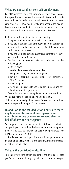## **What are net earnings from self-employment?**

For SEP purposes, your net earnings are your gross income from your business minus allowable deductions for that business. Allowable deductions include contributions to your employees' SEP-IRAs. You also take into account the deduction allowed for one-half of your self-employment tax, and the deduction for contributions to your own SEP-IRA.

Include the following items in your net earnings.

- 1. Foreign earned income and housing cost amounts.
- 2. If you are a partner, your distributive share of partnership income or loss (other than separately stated items such as capital gains and losses).

If you are a limited partner, guaranteed payments for services to or for the partnership.

- 4. Elective contributions or deferrals under any of the following plans.
	- a. 401(k) plans.
	- b. 403(b) plans (tax-sheltered annuities).
	- c. SEP plans (salary-reduction arrangements).
	- d. Savings incentive match plans for employees (SIMPLE plans).
	- e. Cafeteria plans.
	- f. 457 plans (plans of state and local governments and certain tax-exempt organizations).

Do not include the following items in your net earnings.

- $\blacklozenge$  Tax-free items (or deductions related to them).
- $\blacklozenge$  If you are a limited partner, distributions of income or loss.
- $\triangle$  Income passed through a S corporation.

#### **In addition to the tax-deduction limits, are there any limits on the amount an employer can contribute to one or more retirement plans on behalf of any one participant?**

Yes. In general, an employer cannot contribute, on behalf of any participant, more than the lesser of 100% of compensation, or \$40,000, as indexed for cost-of-living changes. For 2021, the amount is \$58,000.

 Special tax rules will apply if the employer sponsors plans in addition to a SEP, such as a profit sharing, money purchase, or defined benefit plan.

#### **What is the contribution deadline?**

The employer's contribution deadline is the due date of that year's tax return, including any extensions. For many corpo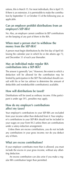rations, this is March 15. For most individuals, this is April 15. If there is an extension, it is permissible to make the contribution by September 15 or October 15 of the following year, as applicable.

## **Can an employer prohibit distributions from an employee's SEP-IRA?**

No. Also, an employer cannot condition its SEP contributions on the keeping of any part of them in the IRA.

#### **When must a person start to withdraw the money from the SEP-IRA?**

A person must begin distributions by the first day of April following the calendar year in which he or she attains age 72, and December 31 of each year thereafter.

#### **May an individual make regular IRA contributions into a SEP-IRA?**

The answer is generally "yes." However, the extent to which a deduction will be allowed for the contribution may be limited by participation in the SEP. The individual should consult with his or her tax advisor to determine the amount of deductible and nondeductible contribution(s) available.

## **How will distributions be taxed?**

Distributions will be taxed as ordinary income. If the participant is under age 59<sup>1</sup> ⁄2, penalties may apply.

## **How do my employer's contributions affect my taxes?**

Your employer's contributions to your SEP-IRA are excluded from your income rather than deducted from it. Your employer's contributions to your SEP-IRA should not be included in your wages on your Form W-2 unless there are contributions under a salary-reduction arrangement.

 Unless there are excess contributions, you do not include any contributions in your gross income; nor do you deduct any of them.

#### **What are excess contributions?**

If your employer contributes more than is allowed, you must include the excess in your gross income, without any offsetting deduction.

 An excess contribution can also arise if you make a regular IRA contribution larger than permitted.